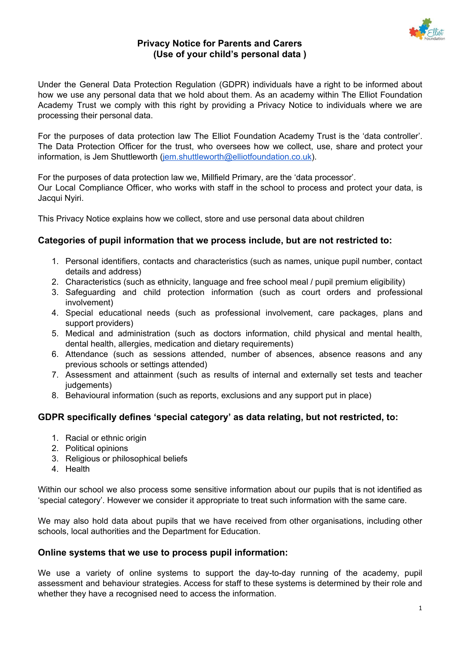

Under the General Data Protection Regulation (GDPR) individuals have a right to be informed about how we use any personal data that we hold about them. As an academy within The Elliot Foundation Academy Trust we comply with this right by providing a Privacy Notice to individuals where we are processing their personal data.

For the purposes of data protection law The Elliot Foundation Academy Trust is the 'data controller'. The Data Protection Officer for the trust, who oversees how we collect, use, share and protect your information, is Jem Shuttleworth ([jem.shuttleworth@elliotfoundation.co.uk\)](mailto:jem.shuttleworth@elliotfoundation.co.uk).

For the purposes of data protection law we, Millfield Primary, are the 'data processor'. Our Local Compliance Officer, who works with staff in the school to process and protect your data, is Jacqui Nyiri.

This Privacy Notice explains how we collect, store and use personal data about children

# **Categories of pupil information that we process include, but are not restricted to:**

- 1. Personal identifiers, contacts and characteristics (such as names, unique pupil number, contact details and address)
- 2. Characteristics (such as ethnicity, language and free school meal / pupil premium eligibility)
- 3. Safeguarding and child protection information (such as court orders and professional involvement)
- 4. Special educational needs (such as professional involvement, care packages, plans and support providers)
- 5. Medical and administration (such as doctors information, child physical and mental health, dental health, allergies, medication and dietary requirements)
- 6. Attendance (such as sessions attended, number of absences, absence reasons and any previous schools or settings attended)
- 7. Assessment and attainment (such as results of internal and externally set tests and teacher judgements)
- 8. Behavioural information (such as reports, exclusions and any support put in place)

# **GDPR specifically defines 'special category' as data relating, but not restricted, to:**

- 1. Racial or ethnic origin
- 2. Political opinions
- 3. Religious or philosophical beliefs
- 4. Health

Within our school we also process some sensitive information about our pupils that is not identified as 'special category'. However we consider it appropriate to treat such information with the same care.

We may also hold data about pupils that we have received from other organisations, including other schools, local authorities and the Department for Education.

# **Online systems that we use to process pupil information:**

We use a variety of online systems to support the day-to-day running of the academy, pupil assessment and behaviour strategies. Access for staff to these systems is determined by their role and whether they have a recognised need to access the information.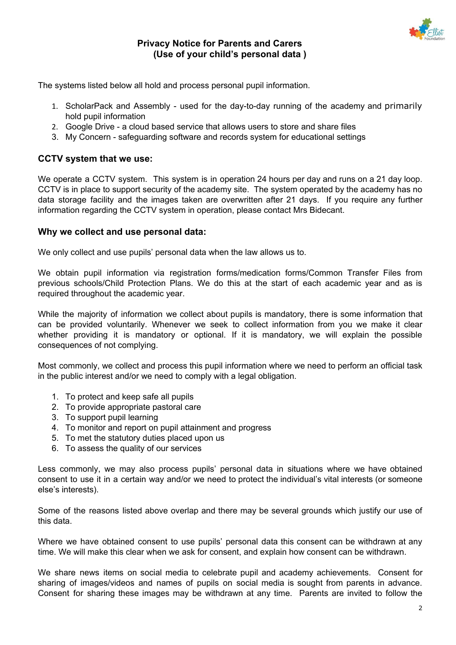

The systems listed below all hold and process personal pupil information.

- 1. ScholarPack and Assembly used for the day-to-day running of the academy and primarily hold pupil information
- 2. Google Drive a cloud based service that allows users to store and share files
- 3. My Concern safeguarding software and records system for educational settings

# **CCTV system that we use:**

We operate a CCTV system. This system is in operation 24 hours per day and runs on a 21 day loop. CCTV is in place to support security of the academy site. The system operated by the academy has no data storage facility and the images taken are overwritten after 21 days. If you require any further information regarding the CCTV system in operation, please contact Mrs Bidecant.

### **Why we collect and use personal data:**

We only collect and use pupils' personal data when the law allows us to.

We obtain pupil information via registration forms/medication forms/Common Transfer Files from previous schools/Child Protection Plans. We do this at the start of each academic year and as is required throughout the academic year.

While the majority of information we collect about pupils is mandatory, there is some information that can be provided voluntarily. Whenever we seek to collect information from you we make it clear whether providing it is mandatory or optional. If it is mandatory, we will explain the possible consequences of not complying.

Most commonly, we collect and process this pupil information where we need to perform an official task in the public interest and/or we need to comply with a legal obligation.

- 1. To protect and keep safe all pupils
- 2. To provide appropriate pastoral care
- 3. To support pupil learning
- 4. To monitor and report on pupil attainment and progress
- 5. To met the statutory duties placed upon us
- 6. To assess the quality of our services

Less commonly, we may also process pupils' personal data in situations where we have obtained consent to use it in a certain way and/or we need to protect the individual's vital interests (or someone else's interests).

Some of the reasons listed above overlap and there may be several grounds which justify our use of this data.

Where we have obtained consent to use pupils' personal data this consent can be withdrawn at any time. We will make this clear when we ask for consent, and explain how consent can be withdrawn.

We share news items on social media to celebrate pupil and academy achievements. Consent for sharing of images/videos and names of pupils on social media is sought from parents in advance. Consent for sharing these images may be withdrawn at any time. Parents are invited to follow the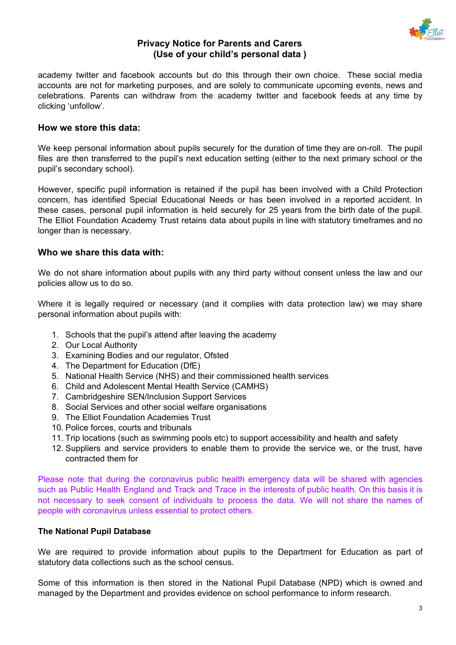

academy twitter and facebook accounts but do this through their own choice. These social media accounts are not for marketing purposes, and are solely to communicate upcoming events, news and celebrations. Parents can withdraw from the academy twitter and facebook feeds at any time by clicking 'unfollow'.

### **How we store this data:**

We keep personal information about pupils securely for the duration of time they are on-roll. The pupil files are then transferred to the pupil's next education setting (either to the next primary school or the pupil's secondary school).

However, specific pupil information is retained if the pupil has been involved with a Child Protection concern, has identified Special Educational Needs or has been involved in a reported accident. In these cases, personal pupil information is held securely for 25 years from the birth date of the pupil. The Elliot Foundation Academy Trust retains data about pupils in line with statutory timeframes and no longer than is necessary.

#### **Who we share this data with:**

We do not share information about pupils with any third party without consent unless the law and our policies allow us to do so.

Where it is legally required or necessary (and it complies with data protection law) we may share personal information about pupils with:

- 1. Schools that the pupil's attend after leaving the academy
- 2. Our Local Authority
- 3. Examining Bodies and our regulator, Ofsted
- 4. The Department for Education (DfE)
- 5. National Health Service (NHS) and their commissioned health services
- 6. Child and Adolescent Mental Health Service (CAMHS)
- 7. Cambridgeshire SEN/Inclusion Support Services
- 8. Social Services and other social welfare organisations
- 9. The Elliot Foundation Academies Trust
- 10. Police forces, courts and tribunals
- 11. Trip locations (such as swimming pools etc) to support accessibility and health and safety
- 12. Suppliers and service providers to enable them to provide the service we, or the trust, have contracted them for

Please note that during the coronavirus public health emergency data will be shared with agencies such as Public Health England and Track and Trace in the interests of public health. On this basis it is not necessary to seek consent of individuals to process the data. We will not share the names of people with coronavirus unless essential to protect others.

#### **The National Pupil Database**

We are required to provide information about pupils to the Department for Education as part of statutory data collections such as the school census.

Some of this information is then stored in the National Pupil Database (NPD) which is owned and managed by the Department and provides evidence on school performance to inform research.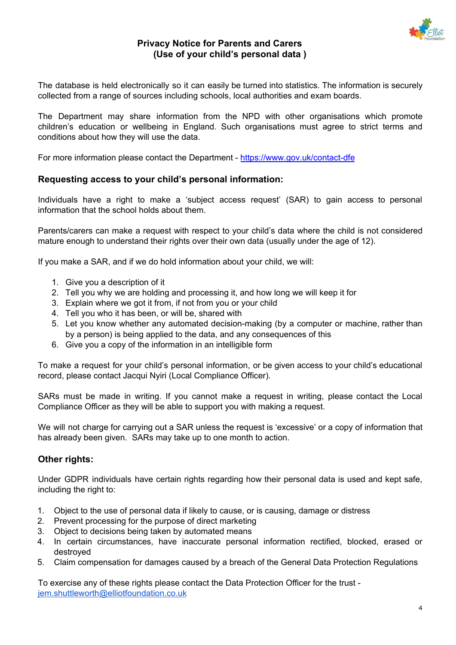

The database is held electronically so it can easily be turned into statistics. The information is securely collected from a range of sources including schools, local authorities and exam boards.

The Department may share information from the NPD with other organisations which promote children's education or wellbeing in England. Such organisations must agree to strict terms and conditions about how they will use the data.

For more information please contact the Department - <https://www.gov.uk/contact-dfe>

### **Requesting access to your child's personal information:**

Individuals have a right to make a 'subject access request' (SAR) to gain access to personal information that the school holds about them.

Parents/carers can make a request with respect to your child's data where the child is not considered mature enough to understand their rights over their own data (usually under the age of 12).

If you make a SAR, and if we do hold information about your child, we will:

- 1. Give you a description of it
- 2. Tell you why we are holding and processing it, and how long we will keep it for
- 3. Explain where we got it from, if not from you or your child
- 4. Tell you who it has been, or will be, shared with
- 5. Let you know whether any automated decision-making (by a computer or machine, rather than by a person) is being applied to the data, and any consequences of this
- 6. Give you a copy of the information in an intelligible form

To make a request for your child's personal information, or be given access to your child's educational record, please contact Jacqui Nyiri (Local Compliance Officer).

SARs must be made in writing. If you cannot make a request in writing, please contact the Local Compliance Officer as they will be able to support you with making a request.

We will not charge for carrying out a SAR unless the request is 'excessive' or a copy of information that has already been given. SARs may take up to one month to action.

#### **Other rights:**

Under GDPR individuals have certain rights regarding how their personal data is used and kept safe, including the right to:

- 1. Object to the use of personal data if likely to cause, or is causing, damage or distress
- 2. Prevent processing for the purpose of direct marketing
- 3. Object to decisions being taken by automated means
- 4. In certain circumstances, have inaccurate personal information rectified, blocked, erased or destroyed
- 5. Claim compensation for damages caused by a breach of the General Data Protection Regulations

To exercise any of these rights please contact the Data Protection Officer for the trust [jem.shuttleworth@elliotfoundation.co.uk](mailto:jem.shuttleworth@elliotfoundation.co.uk)